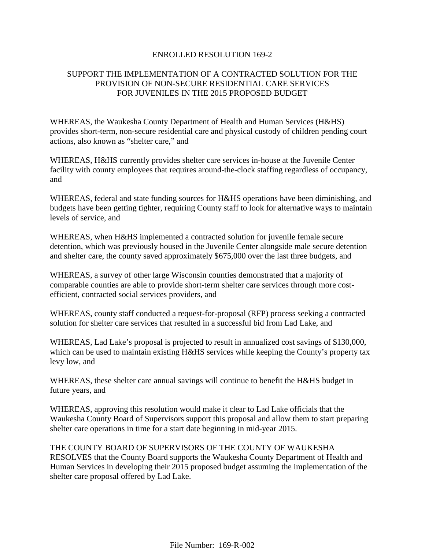### ENROLLED RESOLUTION 169-2

# SUPPORT THE IMPLEMENTATION OF A CONTRACTED SOLUTION FOR THE PROVISION OF NON-SECURE RESIDENTIAL CARE SERVICES FOR JUVENILES IN THE 2015 PROPOSED BUDGET

WHEREAS, the Waukesha County Department of Health and Human Services (H&HS) provides short-term, non-secure residential care and physical custody of children pending court actions, also known as "shelter care," and

WHEREAS, H&HS currently provides shelter care services in-house at the Juvenile Center facility with county employees that requires around-the-clock staffing regardless of occupancy, and

WHEREAS, federal and state funding sources for H&HS operations have been diminishing, and budgets have been getting tighter, requiring County staff to look for alternative ways to maintain levels of service, and

WHEREAS, when H&HS implemented a contracted solution for juvenile female secure detention, which was previously housed in the Juvenile Center alongside male secure detention and shelter care, the county saved approximately \$675,000 over the last three budgets, and

WHEREAS, a survey of other large Wisconsin counties demonstrated that a majority of comparable counties are able to provide short-term shelter care services through more costefficient, contracted social services providers, and

WHEREAS, county staff conducted a request-for-proposal (RFP) process seeking a contracted solution for shelter care services that resulted in a successful bid from Lad Lake, and

WHEREAS, Lad Lake's proposal is projected to result in annualized cost savings of \$130,000, which can be used to maintain existing H&HS services while keeping the County's property tax levy low, and

WHEREAS, these shelter care annual savings will continue to benefit the H&HS budget in future years, and

WHEREAS, approving this resolution would make it clear to Lad Lake officials that the Waukesha County Board of Supervisors support this proposal and allow them to start preparing shelter care operations in time for a start date beginning in mid-year 2015.

THE COUNTY BOARD OF SUPERVISORS OF THE COUNTY OF WAUKESHA RESOLVES that the County Board supports the Waukesha County Department of Health and Human Services in developing their 2015 proposed budget assuming the implementation of the shelter care proposal offered by Lad Lake.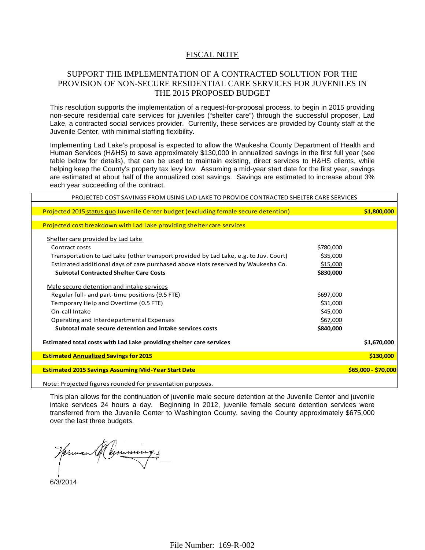#### FISCAL NOTE

## SUPPORT THE IMPLEMENTATION OF A CONTRACTED SOLUTION FOR THE PROVISION OF NON-SECURE RESIDENTIAL CARE SERVICES FOR JUVENILES IN THE 2015 PROPOSED BUDGET

This resolution supports the implementation of a request-for-proposal process, to begin in 2015 providing non-secure residential care services for juveniles ("shelter care") through the successful proposer, Lad Lake, a contracted social services provider. Currently, these services are provided by County staff at the Juvenile Center, with minimal staffing flexibility.

Implementing Lad Lake's proposal is expected to allow the Waukesha County Department of Health and Human Services (H&HS) to save approximately \$130,000 in annualized savings in the first full year (see table below for details), that can be used to maintain existing, direct services to H&HS clients, while helping keep the County's property tax levy low. Assuming a mid-year start date for the first year, savings are estimated at about half of the annualized cost savings. Savings are estimated to increase about 3% each year succeeding of the contract.

| PROJECTED COST SAVINGS FROM USING LAD LAKE TO PROVIDE CONTRACTED SHELTER CARE SERVICES |           |                     |  |
|----------------------------------------------------------------------------------------|-----------|---------------------|--|
|                                                                                        |           |                     |  |
| Projected 2015 status quo Juvenile Center budget (excluding female secure detention)   |           | \$1,800,000         |  |
|                                                                                        |           |                     |  |
| Projected cost breakdown with Lad Lake providing shelter care services                 |           |                     |  |
| Shelter care provided by Lad Lake                                                      |           |                     |  |
| Contract costs                                                                         | \$780,000 |                     |  |
| Transportation to Lad Lake (other transport provided by Lad Lake, e.g. to Juv. Court)  | \$35,000  |                     |  |
|                                                                                        |           |                     |  |
| Estimated additional days of care purchased above slots reserved by Waukesha Co.       | \$15,000  |                     |  |
| <b>Subtotal Contracted Shelter Care Costs</b>                                          | \$830,000 |                     |  |
| Male secure detention and intake services                                              |           |                     |  |
| Regular full- and part-time positions (9.5 FTE)                                        | \$697,000 |                     |  |
| Temporary Help and Overtime (0.5 FTE)                                                  | \$31,000  |                     |  |
| On-call Intake                                                                         | \$45,000  |                     |  |
| Operating and Interdepartmental Expenses                                               | \$67,000  |                     |  |
| Subtotal male secure detention and intake services costs                               | \$840,000 |                     |  |
|                                                                                        |           |                     |  |
| Estimated total costs with Lad Lake providing shelter care services                    |           | \$1,670,000         |  |
| <b>Estimated Annualized Savings for 2015</b>                                           |           | \$130,000           |  |
|                                                                                        |           |                     |  |
| <b>Estimated 2015 Savings Assuming Mid-Year Start Date</b>                             |           | \$65,000 - \$70,000 |  |
|                                                                                        |           |                     |  |
| Note: Projected figures rounded for presentation purposes.                             |           |                     |  |

This plan allows for the continuation of juvenile male secure detention at the Juvenile Center and juvenile intake services 24 hours a day. Beginning in 2012, juvenile female secure detention services were transferred from the Juvenile Center to Washington County, saving the County approximately \$675,000 over the last three budgets.

 $\blacksquare$ Norman A. Cummings Director of Administration

6/3/2014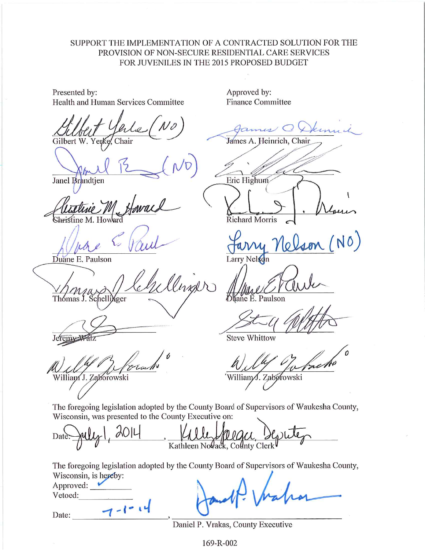# SUPPORT THE IMPLEMENTATION OF A CONTRACTED SOLUTION FOR THE PROVISION OF NON-SECURE RESIDENTIAL CARE SERVICES FOR JUVENILES IN THE 2015 PROPOSED BUDGET

Presented by: Health and Human Services Committee

Gilbert W. Yer

Janel Brandtien

Shristine M. Ho

Duane E. Paulson

llinger Thomas J. Schell *f*ger

Jerem

William J. Zaborowski

Approved by: **Finance Committee** 

James A. Heinrich, Chair

Eric Highum

**Richard Morris** 

Larry Nelson

tane E. Paulson

**Steve Whittow** 

William∕J. Zaborowski

The foregoing legislation adopted by the County Board of Supervisors of Waukesha County, Wisconsin, was presented to the County Executive on:

Date Kathleen Novack, County Clerk

The foregoing legislation adopted by the County Board of Supervisors of Waukesha County, Wisconsin, is hereby:

| Approved: |  |
|-----------|--|
| Vetoed:   |  |

Date:

Daniel P. Vrakas, County Executive

169-R-002